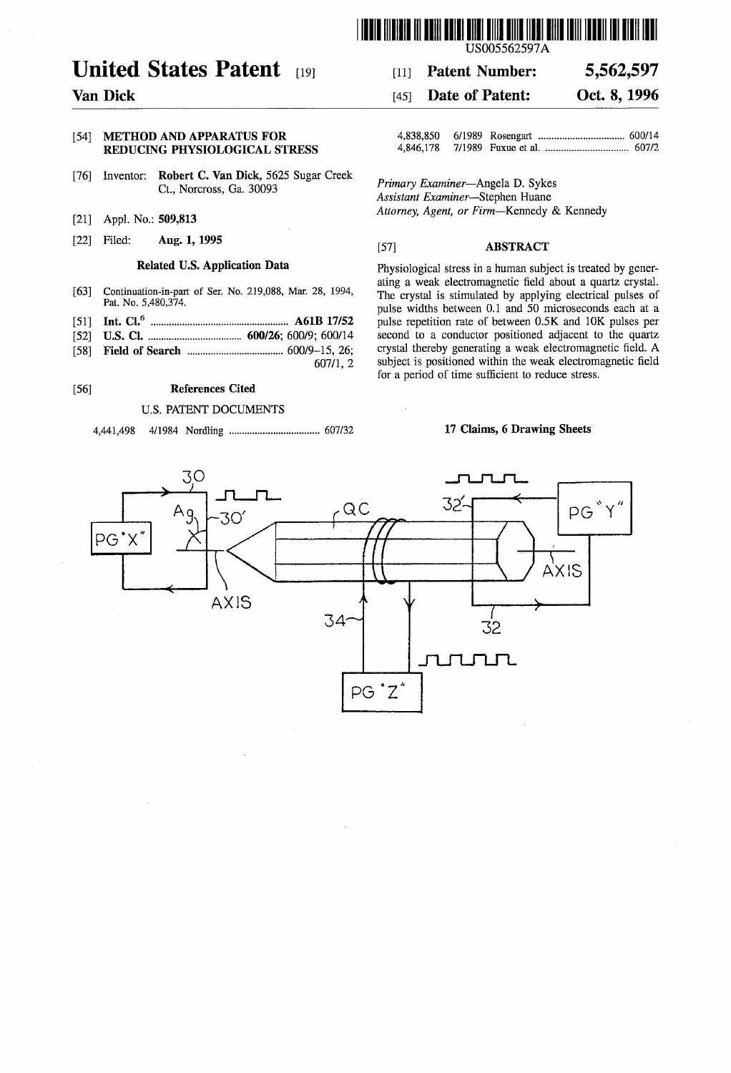

## United States Patent [19] 111 Patent Number: 5,562,597

# REDUCING PHYSIOLOGICAL STRESS

- [76] Inventor: **Robert C. Van Dick**, 5625 Sugar Creek *Primary Examiner*—Angela D. Sykes Ct., Norcross, Ga. 30093 *Assistant Examiner*—Stephen Huane
- 
- 

- 
- 
- 
- 58) Field of Search ..................................... 600/9-15, 26; crystal thereby generating a weak electromagnetic field. A

## 56) References Cited

## U.S. PATENT DOCUMENTS

4,441,498 4/1984 Nordling ................................... 6O7/32 17 Claims, 6 Drawing Sheets

## US005562597A

## Van Dick (45) Date of Patent: Oct. 8, 1996

54 METHOD AND APPARATUS FOR 4,838,850 6/1989 Rosengart ................................. 600/14

(21) Appl. No. 509,813 Attorney, Agent, or Firm-Kennedy & Kennedy

## [22] Filed: Aug. 1, 1995  $[57]$  ABSTRACT

Related U.S. Application Data Physiological stress in a human subject is treated by generating a weak electromagnetic field about a quartz crystal. Fortinuation-in-part of Ser. No. 219,088, Mar. 28, 1994,<br>Pat. No. 5,480,374. The crystal is stimulated by applying electrical pulses of Pat. No. 5,480,574.<br>Int.  $Cl<sub>1</sub>$ <sup>6</sup> microseconds each at a pulse widths between 0.1 and 50 microseconds each at a pulse repetition rate of between 0.5K and 10K pulses per (51) Int. Cl. ........................................ A61B 17/52 pulse repetition rate of between 0.5K and 10K pulses per 52 U.S. Cl. ................. ... 600/26; 600/9; 600/14 second to a conductor positioned adjacent to the quartz subject is positioned within the weak electromagnetic field for a period of time sufficient to reduce stress.

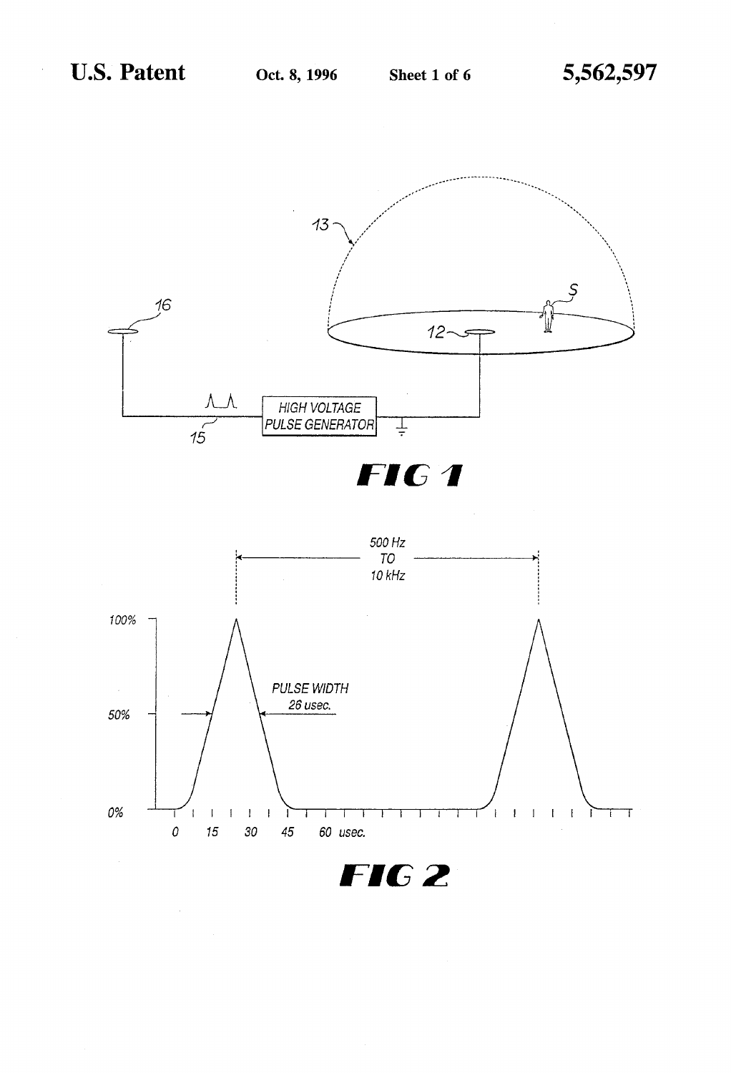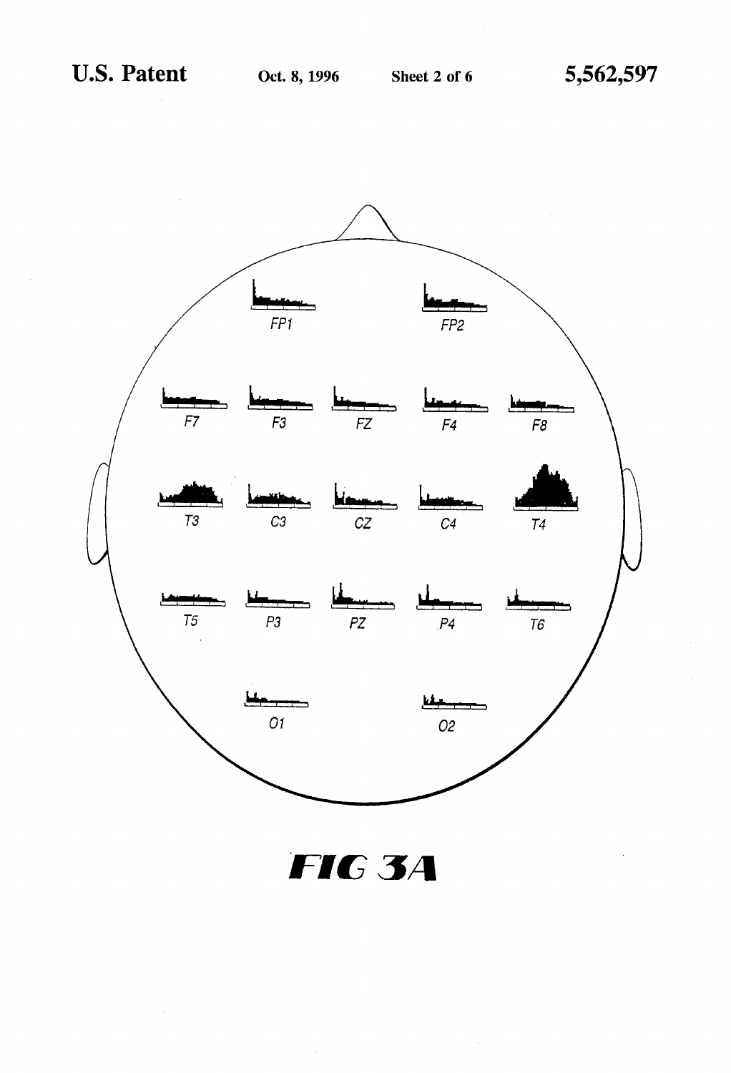

FIG 3A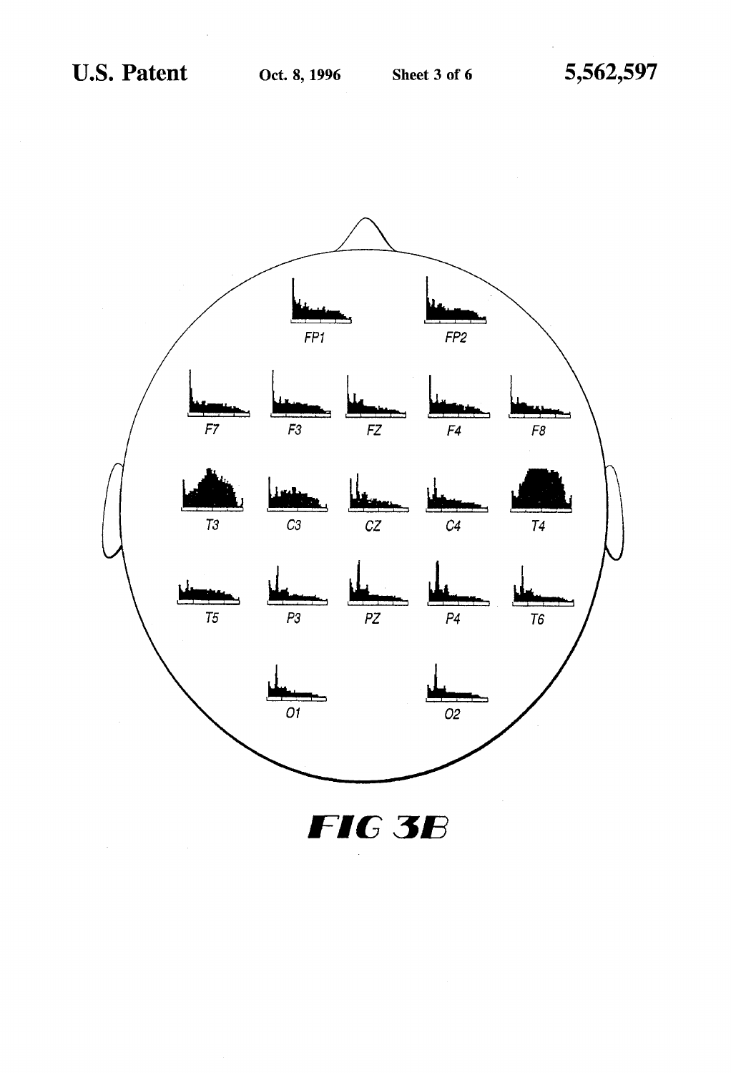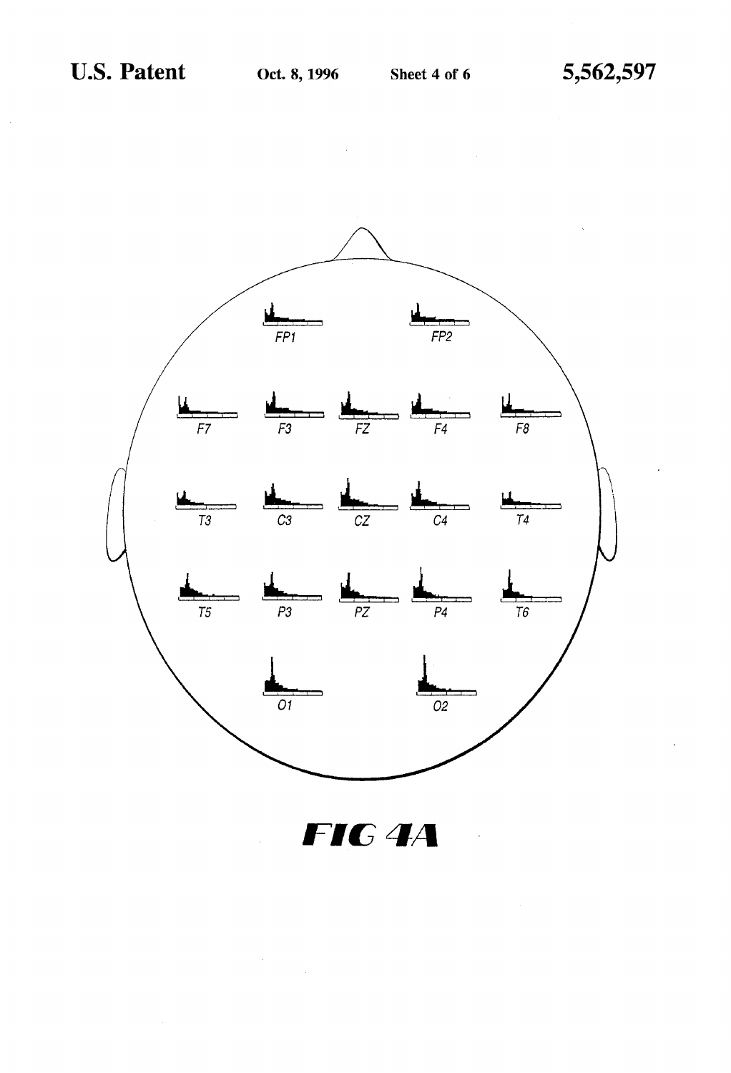$\sim$ 



FIG<sup>4A</sup>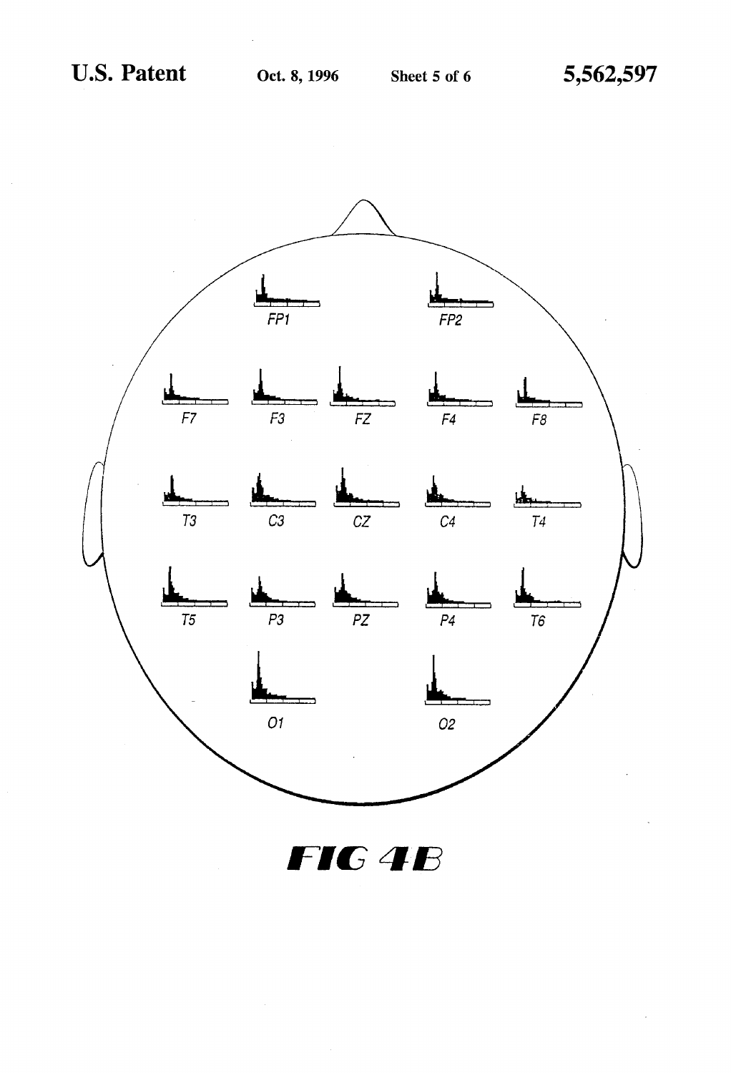

FIG 4B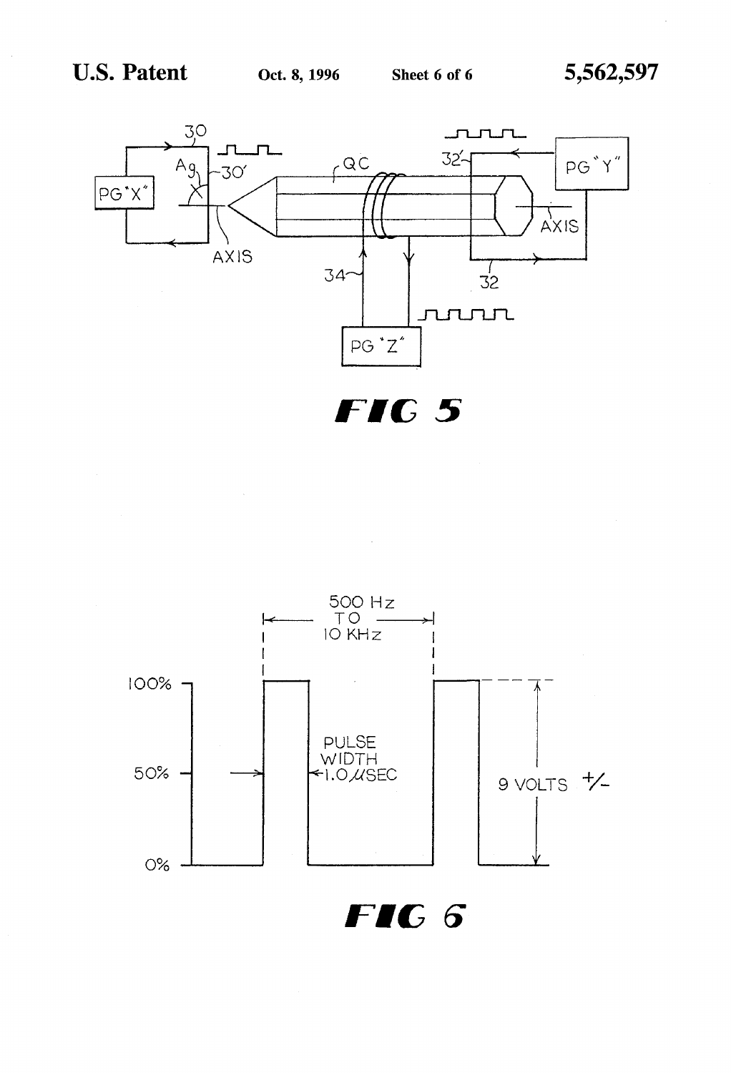

FIC 5



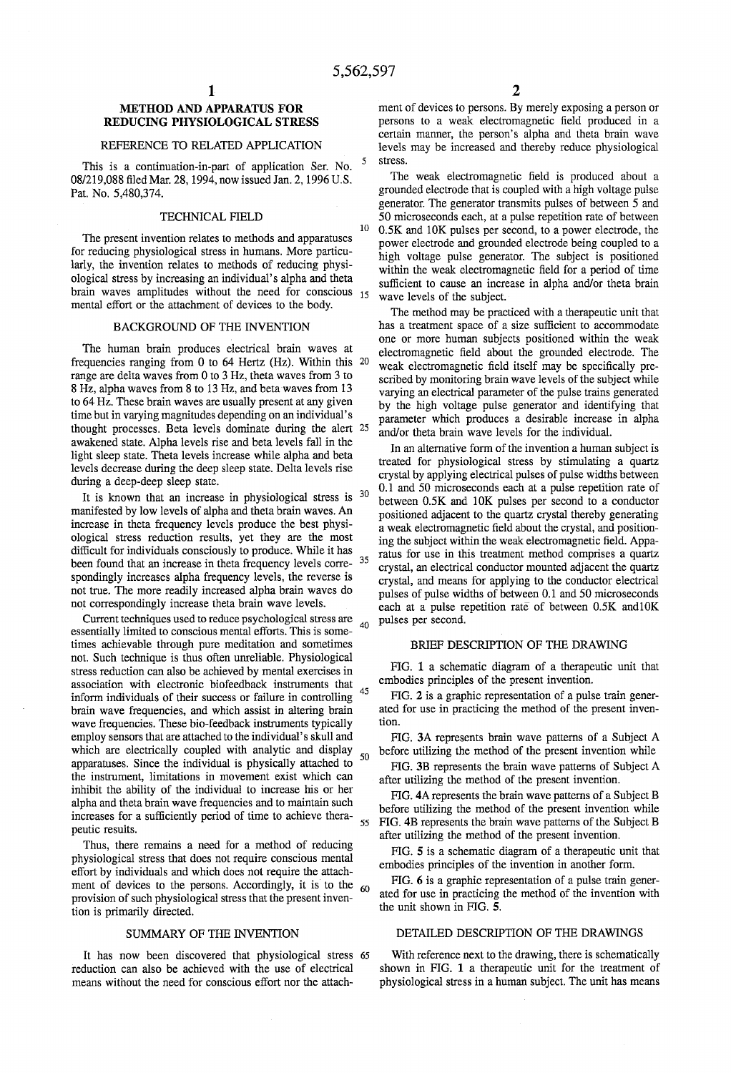5.

10

## METHOD AND APPARATUS FOR REDUCING PHYSIOLOGICAL STRESS

## REFERENCE TO RELATED APPLICATION

This is a continuation-in-part of application Ser. No. 08/219,088 filed Mar. 28, 1994, now issued Jan. 2, 1996 U.S. Pat. No. 5,480,374.

### TECHNICAL FIELD

The present invention relates to methods and apparatuses for reducing physiological stress in humans. More particularly, the invention relates to methods of reducing physiological stress by increasing an individual's alpha and theta brain waves amplitudes without the need for conscious 15 mental effort or the attachment of devices to the body.

## BACKGROUND OF THE INVENTION

The human brain produces electrical brain waves at frequencies ranging from 0 to 64 Hertz (Hz). Within this 20 range are delta waves from 0 to 3 Hz, theta waves from 3 to 8 Hz, alpha waves from 8 to 13 Hz, and beta waves from 13 time but in varying magnitudes depending on an individual's thought processes. Beta levels dominate during the alert 25 awakened state. Alpha levels rise and beta levels fall in the light sleep state. Theta levels increase while alpha and beta levels decrease during the deep sleep state. Delta levels rise during a deep-deep sleep state.

It is known that an increase in physiological stress is  $30$ manifested by low levels of alpha and theta brain waves. An increase in theta frequency levels produce the best physi ological stress reduction results, yet they are the most difficult for individuals consciously to produce. While it has difficult for individuals consciously to produce. While it has been found that an increase in theta frequency levels corre- <sup>35</sup> spondingly increases alpha frequency levels, the reverse is not true. The more readily increased alpha brain waves do not correspondingly increase theta brain wave levels.

Current techniques used to reduce psychological stress are essentially limited to conscious mental efforts. This is some times achievable through pure meditation and sometimes not. Such technique is thus often unreliable. Physiological stress reduction can also be achieved by mental exercises in association with electronic biofeedback instruments that inform individuals of their success or failure in controlling brain wave frequencies, and which assist in altering brain wave frequencies. These bio-feedback instruments typically employ sensors that are attached to the individual's skull and which are electrically coupled with analytic and display apparatuses. Since the individual is physically attached to the instrument, limitations in movement exist which can inhibit the ability of the individual to increase his or her alpha and theta brain wave frequencies and to maintain such increases for a sufficiently period of time to achieve thera peutic results.  $40$ 45 50 55

Thus, there remains a need for a method of reducing physiological stress that does not require conscious mental effort by individuals and which does not require the attach ment of devices to the persons. Accordingly, it is to the provision of such physiological stress that the present inven tion is primarily directed. 60

### SUMMARY OF THE INVENTION

It has now been discovered that physiological stress 65 reduction can also be achieved with the use of electrical means without the need for conscious effort nor the attach

ment of devices to persons. By merely exposing a person or persons to a weak electromagnetic field produced in a certain manner, the person's alpha and theta brain wave levels may be increased and thereby reduce physiological stress.

The weak electromagnetic field is produced about a grounded electrode that is coupled with a high voltage pulse generator. The generator transmits pulses of between 5 and 50 microseconds each, at a pulse repetition rate of between 0.5K and 10K pulses per second, to a power electrode, the power electrode and grounded electrode being coupled to a high voltage pulse generator. The subject is positioned within the weak electromagnetic field for a period of time sufficient to cause an increase in alpha and/or theta brain wave levels of the subject.

The method may be practiced with a therapeutic unit that has a treatment space of a size sufficient to accommodate one or more human subjects positioned within the weak electromagnetic field about the grounded electrode. The weak electromagnetic field itself may be specifically pre scribed by monitoring brain wave levels of the subject while varying an electrical parameter of the pulse trains generated by the high voltage pulse generator and identifying that parameter which produces a desirable increase in alpha and/or theta brain wave levels for the individual.

In an alternative form of the invention a human subject is treated for physiological stress by stimulating a quartz crystal by applying electrical pulses of pulse widths between 0.1 and 50 microseconds each at a pulse repetition rate of between 0.5K and 10K pulses per second to a conductor positioned adjacent to the quartz crystal thereby generating ing the subject within the weak electromagnetic field. Apparatus for use in this treatment method comprises a quartz crystal, an electrical conductor mounted adjacent the quartz crystal, and means for applying to the conductor electrical pulses of pulse widths of between 0.1 and 50 microseconds each at a pulse repetition rate of between  $0.5K$  and  $10K$ pulses per second.

## BRIEF DESCRIPTION OF THE DRAWING

FIG. 1 a schematic diagram of a therapeutic unit that embodies principles of the present invention.

FIG. 2 is a graphic representation of a pulse train gener ated for use in practicing the method of the present inven tion.

FIG. 3A represents brain wave patterns of a Subject A before utilizing the method of the present invention while

FIG. 3B represents the brain wave patterns of Subject A after utilizing the method of the present invention.

FIG. 4A represents the brain wave patterns of a Subject B before utilizing the method of the present invention while FIG. 4B represents the brain wave patterns of the Subject B after utilizing the method of the present invention.

FIG. 5 is a schematic diagram of a therapeutic unit that embodies principles of the invention in another form.

FIG. 6 is a graphic representation of a pulse train gener ated for use in practicing the method of the invention with the unit shown in FIG. 5.

## DETAILED DESCRIPTION OF THE DRAWINGS

With reference next to the drawing, there is schematically shown in FIG. 1 a therapeutic unit for the treatment of physiological stress in a human subject. The unit has means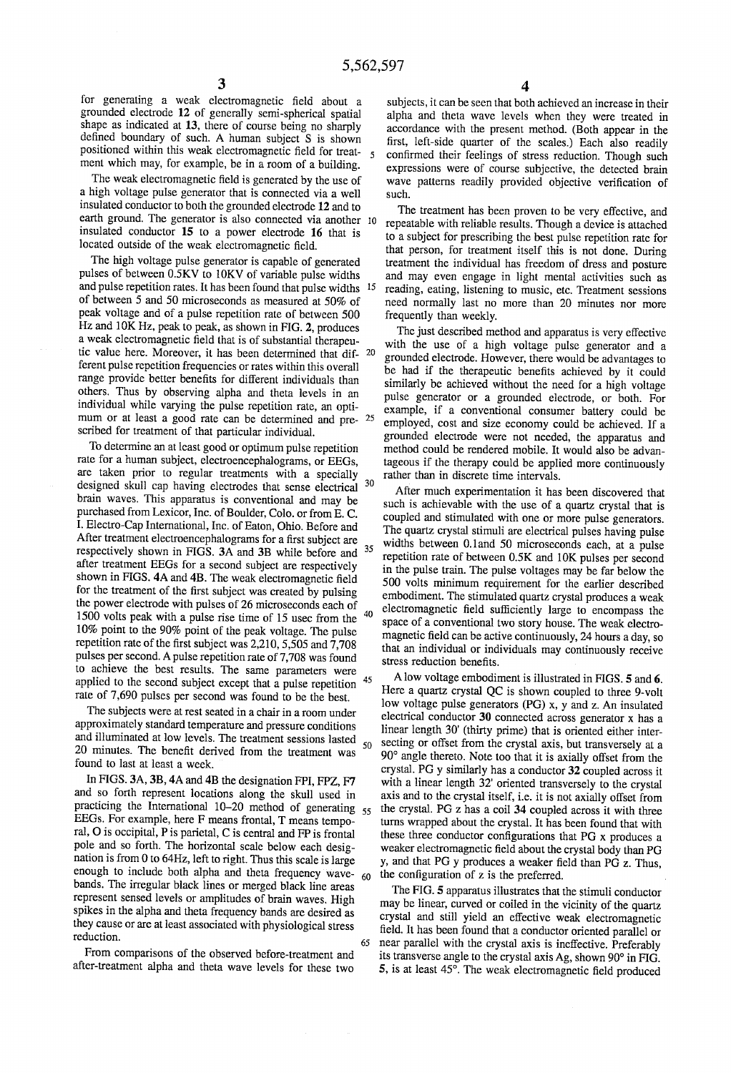for generating a weak electromagnetic field about a grounded electrode 12 of generally semi-spherical spatial shape as indicated at 13, there of course being no sharply defined boundary of such. A human subject S is shown positioned within this weak electromagnetic field for treat ment which may, for example, be in a room of a building.

The weak electromagnetic field is generated by the use of a high voltage pulse generator that is connected via a well insulated conductor to both the grounded electrode 12 and to earth ground. The generator is also connected via another 10 insulated conductor 15 to a power electrode 16 that is located outside of the weak electromagnetic field.

The high voltage pulse generator is capable of generated pulses of between 0.5KV to 10KV of variable pulse widths and pulse repetition rates. It has been found that pulse widths 15 of between 5 and 50 microseconds as measured at 50% of peak voltage and of a pulse repetition rate of between 500 Hz and 10K Hz, peak to peak, as shown in FIG. 2, produces a weak electromagnetic field that is of substantial therapeu tic value here. Moreover, it has been determined that  $\text{dif-}^2$  20 ferent pulse repetition frequencies or rates within this overall range provide better benefits for different individuals than others. Thus by observing alpha and theta levels in an individual while varying the pulse repetition rate, an opti scribed for treatment of that particular individual. mum or at least a good rate can be determined and pre- 25

To determine an at least good or optimum pulse repetition rate for a human subject, electroencephalograms, or EEGs, are taken prior to regular treatments with a specially designed skull cap having electrodes that sense electrical brain waves. This apparatus is conventional and may be purchased from Lexicor, Inc. of Boulder, Colo. or from E. C. I. Electro-Cap International, Inc. of Eaton, Ohio. Before and After treatment electroencephalograms for a first subject are respectively shown in FIGS. 3A and 3B while before and shown in FIGS. 4A and 4B. The weak electromagnetic field for the treatment of the first subject was created by pulsing the power electrode with pulses of 26 microseconds each of 1500 volts peak with a pulse rise time of 15 usec from the repetition rate of the first subject was  $2,210, 5,505$  and  $7,708$ pulses per second. A pulse repetition rate of 7,708 was found to achieve the best results. The same parameters were applied to the second subject except that a pulse repetition 45 rate of 7,690 pulses per second was found to be the best. 30 35 40

The subjects were at rest seated in a chair in a room under approximately standard temperature and pressure conditions and illuminated at low levels. The treatment sessions lasted 20 minutes. The benefit derived from the treatment was found to last at least a week. 50

In FIGS. 3A, 3B, 4A and 4B the designation FPI, FPZ, F7 and so forth represent locations along the skull used in practicing the international  $10-20$  method of generating  $55$ EEGs. For example, here F means frontal, T means temporal, O is occipital, P is parietal, C is central and FP is frontal pole and so forth. The horizontal scale below each desigpole and so forth. The horizontal scale below each designation is from 0 to 64Hz, left to right. Thus this scale is large enough to include both alpha and theta frequency wavebands. The irregular black lines or merged black line areas represent sensed levels or amplitudes of brain waves. High spikes in the alpha and theta frequency bands are desired as they cause or are at least associated with physiological stress reduction. 65

From comparisons of the observed before-treatment and after-treatment alpha and theta wave levels for these two

subjects, it can be seen that both achieved an increase in their alpha and theta wave levels when they were treated in accordance with the present method. (Both appear in the first, left-side quarter of the scales.) Each also readily confirmed their feelings of stress reduction. Though such expressions were of course subjective, the detected brain wave patterns readily provided objective verification of such.

The treatment has been proven to be very effective, and repeatable with reliable results. Though a device is attached to a subject for prescribing the best pulse repetition rate for that person, for treatment itself this is not done. During treatment the individual has freedom of dress and posture and may even engage in light mental activities such as reading, eating, listening to music, etc. Treatment sessions need normally last no more than 20 minutes nor more frequently than weekly.

The just described method and apparatus is very effective with the use of a high voltage pulse generator and a grounded electrode. However, there would be advantages to be had if the therapeutic benefits achieved by it could similarly be achieved without the need for a high voltage pulse generator or a grounded electrode, or both. For example, if a conventional consumer battery could be employed, cost and size economy could be achieved. If a grounded electrode were not needed, the apparatus and method could be rendered mobile. It would also be advan tageous if the therapy could be applied more continuously rather than in discrete time intervals.

After much experimentation it has been discovered that such is achievable with the use of a quartz crystal that is coupled and stimulated with one or more pulse generators. The quartz crystal stimuli are electrical pulses having pulse widths between 0.1and 50 microseconds each, at a pulse repetition rate of between 0.5K and 10K pulses per second in the pulse train. The pulse voltages may be far below the 500 volts minimum requirement for the earlier described embodiment. The stimulated quartz crystal produces a weak electromagnetic field sufficiently large to encompass the space of a conventional two story house. The weak electro magnetic field can be active continuously, 24 hours a day, so that an individual or individuals may continuously receive stress reduction benefits.

A low voltage embodiment is illustrated in FIGS. 5 and 6. Here a quartz crystal QC is shown coupled to three 9-volt low voltage pulse generators (PG) x, y and z. An insulated electrical conductor 30 connected across generator X has a linear length 30' (thirty prime) that is oriented either inter secting or offset from the crystal axis, but transversely at a 90° angle thereto. Note too that it is axially offset from the crystal. PG y similarly has a conductor 32 coupled across it axis and to the crystal itself, i.e. it is not axially offset from the crystal. PG Z has a coil 34 coupled across it with three turns wrapped about the crystal. It has been found that with these three conductor configurations that PG X produces a weaker electromagnetic field about the crystal body than PG y, and that PG y produces a weaker field than PG z. Thus. the configuration of z is the preferred.

The FIG. 5 apparatus illustrates that the stimuli conductor may be linear, curved or coiled in the vicinity of the quartz crystal and still yield an effective weak electromagnetic<br>field. It has been found that a conductor oriented parallel or<br>near parallel with the crystal axis is ineffective. Preferably its transverse angle to the crystal axis Ag, shown 90° in FIG. 5, is at least 45°. The weak electromagnetic field produced